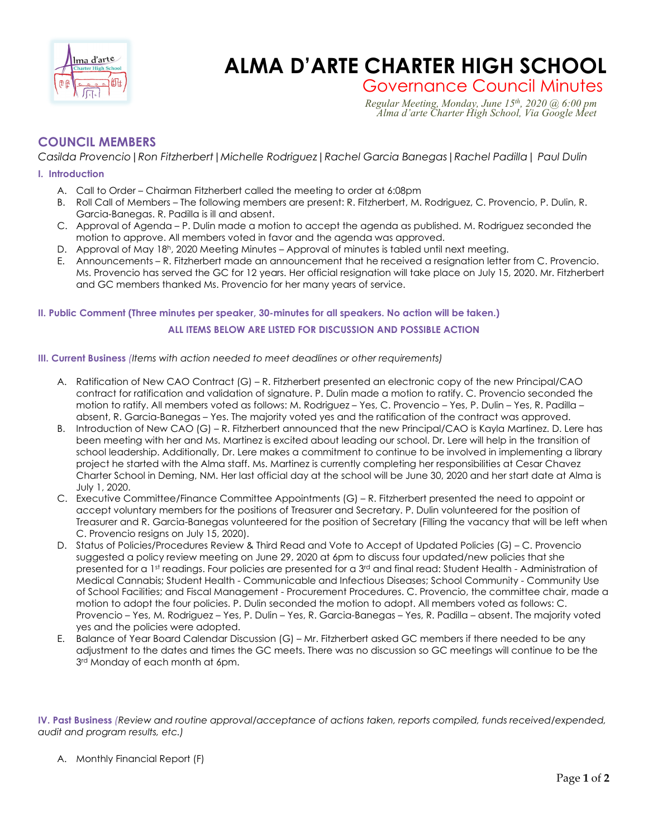

# **Charl d'artic ALMA D'ARTE CHARTER HIGH SCHOOL**

Governance Council Minutes *Regular Meeting, Monday, June 15th, 2020 @ 6:00 pm Alma d'arte Charter High School, Via Google Meet*

# **COUNCIL MEMBERS**

*Casilda Provencio|Ron Fitzherbert|Michelle Rodriguez|Rachel Garcia Banegas|Rachel Padilla| Paul Dulin*

#### **I. Introduction**

- A. Call to Order Chairman Fitzherbert called the meeting to order at 6:08pm
- B. Roll Call of Members The following members are present: R. Fitzherbert, M. Rodriguez, C. Provencio, P. Dulin, R. Garcia-Banegas. R. Padilla is ill and absent.
- C. Approval of Agenda P. Dulin made a motion to accept the agenda as published. M. Rodriguez seconded the motion to approve. All members voted in favor and the agenda was approved.
- D. Approval of May 18h, 2020 Meeting Minutes Approval of minutes is tabled until next meeting.
- E. Announcements R. Fitzherbert made an announcement that he received a resignation letter from C. Provencio. Ms. Provencio has served the GC for 12 years. Her official resignation will take place on July 15, 2020. Mr. Fitzherbert and GC members thanked Ms. Provencio for her many years of service.

## **II. Public Comment (Three minutes per speaker, 30-minutes for all speakers. No action will be taken.) ALL ITEMS BELOW ARE LISTED FOR DISCUSSION AND POSSIBLE ACTION**

#### **III. Current Business** *(Items with action needed to meet deadlines or other requirements)*

- A. Ratification of New CAO Contract (G) R. Fitzherbert presented an electronic copy of the new Principal/CAO contract for ratification and validation of signature. P. Dulin made a motion to ratify. C. Provencio seconded the motion to ratify. All members voted as follows: M. Rodriguez – Yes, C. Provencio – Yes, P. Dulin – Yes, R. Padilla – absent, R. Garcia-Banegas – Yes. The majority voted yes and the ratification of the contract was approved.
- B. Introduction of New CAO (G) R. Fitzherbert announced that the new Principal/CAO is Kayla Martinez. D. Lere has been meeting with her and Ms. Martinez is excited about leading our school. Dr. Lere will help in the transition of school leadership. Additionally, Dr. Lere makes a commitment to continue to be involved in implementing a library project he started with the Alma staff. Ms. Martinez is currently completing her responsibilities at Cesar Chavez Charter School in Deming, NM. Her last official day at the school will be June 30, 2020 and her start date at Alma is July 1, 2020.
- C. Executive Committee/Finance Committee Appointments (G) R. Fitzherbert presented the need to appoint or accept voluntary members for the positions of Treasurer and Secretary. P. Dulin volunteered for the position of Treasurer and R. Garcia-Banegas volunteered for the position of Secretary (Filling the vacancy that will be left when C. Provencio resigns on July 15, 2020).
- D. Status of Policies/Procedures Review & Third Read and Vote to Accept of Updated Policies (G) C. Provencio suggested a policy review meeting on June 29, 2020 at 6pm to discuss four updated/new policies that she presented for a 1st readings. Four policies are presented for a 3<sup>rd</sup> and final read: Student Health - Administration of Medical Cannabis; Student Health - Communicable and Infectious Diseases; School Community - Community Use of School Facilities; and Fiscal Management - Procurement Procedures. C. Provencio, the committee chair, made a motion to adopt the four policies. P. Dulin seconded the motion to adopt. All members voted as follows: C. Provencio – Yes, M. Rodriguez – Yes, P. Dulin – Yes, R. Garcia-Banegas – Yes, R. Padilla – absent. The majority voted yes and the policies were adopted.
- E. Balance of Year Board Calendar Discussion (G) Mr. Fitzherbert asked GC members if there needed to be any adjustment to the dates and times the GC meets. There was no discussion so GC meetings will continue to be the 3<sup>rd</sup> Monday of each month at 6pm.

**IV. Past Business** *(Review and routine approval/acceptance of actions taken, reports compiled, funds received/expended, audit and program results, etc.)*